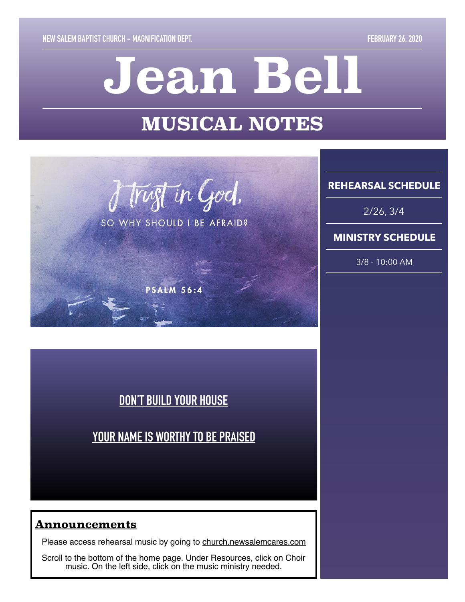# **Jean Bell**

# **MUSICAL NOTES**



SO WHY SHOULD I BE AFRAID?

**PSALM 56:4** 

**REHEARSAL SCHEDULE** 

2/26, 3/4

### **MINISTRY SCHEDULE**

3/8 - 10:00 AM

# **[DON'T BUILD YOUR HOUSE](https://www.youtube.com/watch?v=y8YFhFDVB9A&feature=youtu.be)**

# **[YOUR NAME IS WORTHY TO BE PRAISED](https://www.dropbox.com/s/ckj5mt37l1bcbq8/The%20Raise%20Kids%20%20-%20Your%20Name%20Is%20Worthy%20To%20Be%20Praised.mp3?dl=0)**

### **Announcements**

Please access rehearsal music by going to [church.newsalemcares.com](http://church.newsalemcares.com)

Scroll to the bottom of the home page. Under Resources, click on Choir music. On the left side, click on the music ministry needed.